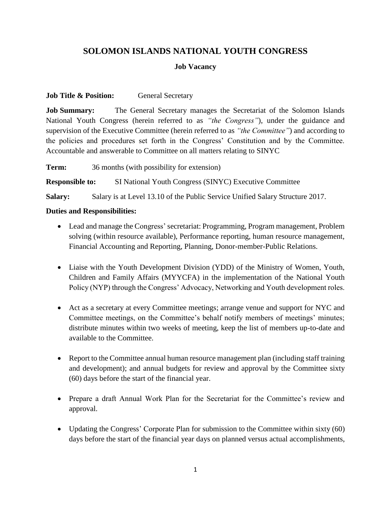# **SOLOMON ISLANDS NATIONAL YOUTH CONGRESS**

### **Job Vacancy**

### **Job Title & Position:** General Secretary

**Job Summary:** The General Secretary manages the Secretariat of the Solomon Islands National Youth Congress (herein referred to as *"the Congress"*), under the guidance and supervision of the Executive Committee (herein referred to as *"the Committee"*) and according to the policies and procedures set forth in the Congress' Constitution and by the Committee. Accountable and answerable to Committee on all matters relating to SINYC

**Term:** 36 months (with possibility for extension) **Responsible to:** SI National Youth Congress (SINYC) Executive Committee **Salary:** Salary is at Level 13.10 of the Public Service Unified Salary Structure 2017.

#### **Duties and Responsibilities:**

- Lead and manage the Congress' secretariat: Programming, Program management, Problem solving (within resource available), Performance reporting, human resource management, Financial Accounting and Reporting, Planning, Donor-member-Public Relations.
- Liaise with the Youth Development Division (YDD) of the Ministry of Women, Youth, Children and Family Affairs (MYYCFA) in the implementation of the National Youth Policy (NYP) through the Congress' Advocacy, Networking and Youth development roles.
- Act as a secretary at every Committee meetings; arrange venue and support for NYC and Committee meetings, on the Committee's behalf notify members of meetings' minutes; distribute minutes within two weeks of meeting, keep the list of members up-to-date and available to the Committee.
- Report to the Committee annual human resource management plan (including staff training and development); and annual budgets for review and approval by the Committee sixty (60) days before the start of the financial year.
- Prepare a draft Annual Work Plan for the Secretariat for the Committee's review and approval.
- Updating the Congress' Corporate Plan for submission to the Committee within sixty (60) days before the start of the financial year days on planned versus actual accomplishments,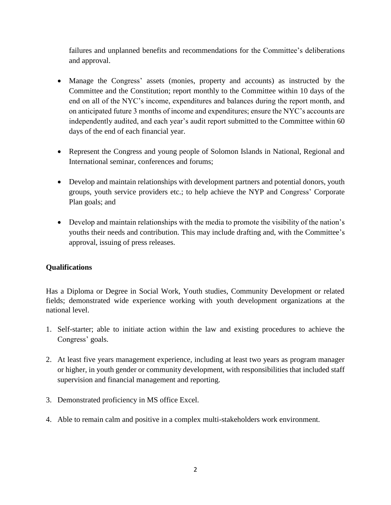failures and unplanned benefits and recommendations for the Committee's deliberations and approval.

- Manage the Congress' assets (monies, property and accounts) as instructed by the Committee and the Constitution; report monthly to the Committee within 10 days of the end on all of the NYC's income, expenditures and balances during the report month, and on anticipated future 3 months of income and expenditures; ensure the NYC's accounts are independently audited, and each year's audit report submitted to the Committee within 60 days of the end of each financial year.
- Represent the Congress and young people of Solomon Islands in National, Regional and International seminar, conferences and forums;
- Develop and maintain relationships with development partners and potential donors, youth groups, youth service providers etc.; to help achieve the NYP and Congress' Corporate Plan goals; and
- Develop and maintain relationships with the media to promote the visibility of the nation's youths their needs and contribution. This may include drafting and, with the Committee's approval, issuing of press releases.

## **Qualifications**

Has a Diploma or Degree in Social Work, Youth studies, Community Development or related fields; demonstrated wide experience working with youth development organizations at the national level.

- 1. Self-starter; able to initiate action within the law and existing procedures to achieve the Congress' goals.
- 2. At least five years management experience, including at least two years as program manager or higher, in youth gender or community development, with responsibilities that included staff supervision and financial management and reporting.
- 3. Demonstrated proficiency in MS office Excel.
- 4. Able to remain calm and positive in a complex multi-stakeholders work environment.